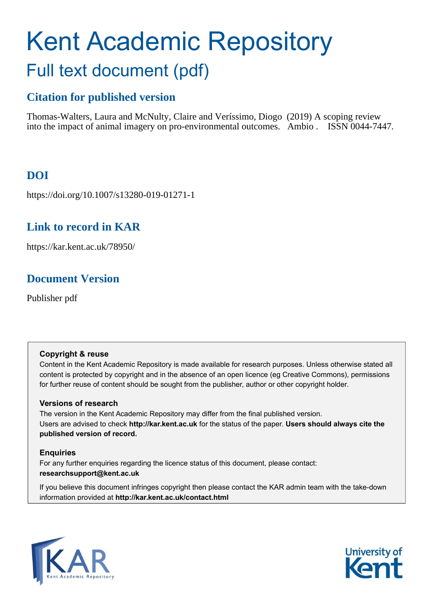# Kent Academic Repository Full text document (pdf)

# **Citation for published version**

Thomas-Walters, Laura and McNulty, Claire and Veríssimo, Diogo (2019) A scoping review into the impact of animal imagery on pro-environmental outcomes. Ambio . ISSN 0044-7447.

# **DOI**

https://doi.org/10.1007/s13280-019-01271-1

# **Link to record in KAR**

https://kar.kent.ac.uk/78950/

# **Document Version**

Publisher pdf

## **Copyright & reuse**

Content in the Kent Academic Repository is made available for research purposes. Unless otherwise stated all content is protected by copyright and in the absence of an open licence (eg Creative Commons), permissions for further reuse of content should be sought from the publisher, author or other copyright holder.

## **Versions of research**

The version in the Kent Academic Repository may differ from the final published version. Users are advised to check **http://kar.kent.ac.uk** for the status of the paper. **Users should always cite the published version of record.**

## **Enquiries**

For any further enquiries regarding the licence status of this document, please contact: **researchsupport@kent.ac.uk**

If you believe this document infringes copyright then please contact the KAR admin team with the take-down information provided at **http://kar.kent.ac.uk/contact.html**



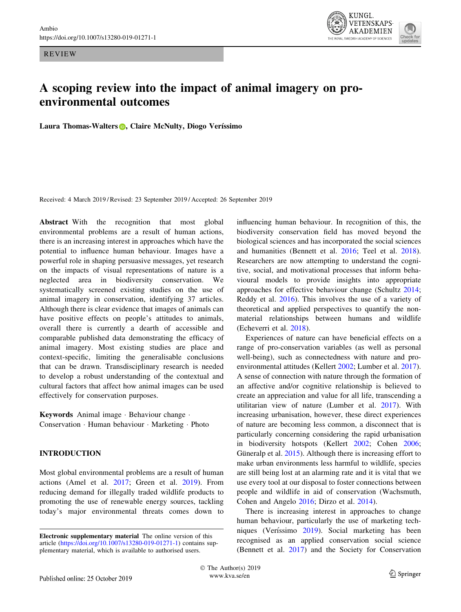REVIEW



## A scoping review into the impact of animal imagery on proenvironmental outcomes

Laura Thomas-Walters **D**, Claire McNulty, Diogo Veríssimo

Received: 4 March 2019 / Revised: 23 September 2019 / Accepted: 26 September 2019

Abstract With the recognition that most global environmental problems are a result of human actions, there is an increasing interest in approaches which have the potential to influence human behaviour. Images have a powerful role in shaping persuasive messages, yet research on the impacts of visual representations of nature is a neglected area in biodiversity conservation. We systematically screened existing studies on the use of animal imagery in conservation, identifying 37 articles. Although there is clear evidence that images of animals can have positive effects on people's attitudes to animals, overall there is currently a dearth of accessible and comparable published data demonstrating the efficacy of animal imagery. Most existing studies are place and context-specific, limiting the generalisable conclusions that can be drawn. Transdisciplinary research is needed to develop a robust understanding of the contextual and cultural factors that affect how animal images can be used effectively for conservation purposes.

Keywords Animal image - Behaviour change - Conservation - Human behaviour - Marketing - Photo

#### INTRODUCTION

Most global environmental problems are a result of human actions (Amel et al. 2017; Green et al. 2019). From reducing demand for illegally traded wildlife products to promoting the use of renewable energy sources, tackling today's major environmental threats comes down to influencing human behaviour. In recognition of this, the biodiversity conservation field has moved beyond the biological sciences and has incorporated the social sciences and humanities (Bennett et al. 2016; Teel et al. 2018). Researchers are now attempting to understand the cognitive, social, and motivational processes that inform behavioural models to provide insights into appropriate approaches for effective behaviour change (Schultz 2014; Reddy et al. 2016). This involves the use of a variety of theoretical and applied perspectives to quantify the nonmaterial relationships between humans and wildlife (Echeverri et al. 2018).

Experiences of nature can have beneficial effects on a range of pro-conservation variables (as well as personal well-being), such as connectedness with nature and proenvironmental attitudes (Kellert 2002; Lumber et al. 2017). A sense of connection with nature through the formation of an affective and/or cognitive relationship is believed to create an appreciation and value for all life, transcending a utilitarian view of nature (Lumber et al. 2017). With increasing urbanisation, however, these direct experiences of nature are becoming less common, a disconnect that is particularly concerning considering the rapid urbanisation in biodiversity hotspots (Kellert 2002; Cohen 2006; Güneralp et al.  $2015$ ). Although there is increasing effort to make urban environments less harmful to wildlife, species are still being lost at an alarming rate and it is vital that we use every tool at our disposal to foster connections between people and wildlife in aid of conservation (Wachsmuth, Cohen and Angelo 2016; Dirzo et al. 2014).

There is increasing interest in approaches to change human behaviour, particularly the use of marketing techniques (Veríssimo 2019). Social marketing has been recognised as an applied conservation social science (Bennett et al. 2017) and the Society for Conservation

Electronic supplementary material The online version of this article [\(https://doi.org/10.1007/s13280-019-01271-1](https://doi.org/10.1007/s13280-019-01271-1)) contains supplementary material, which is available to authorised users.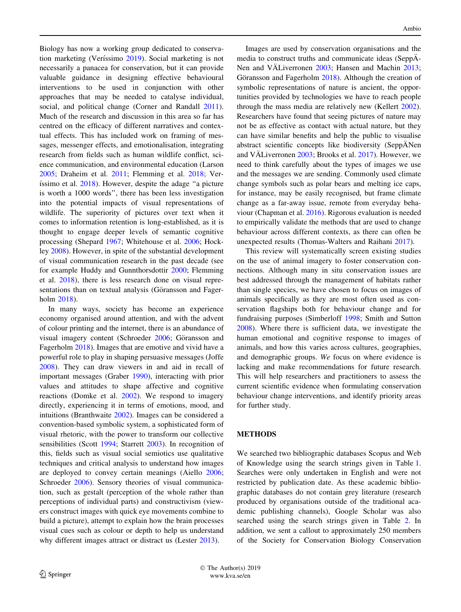Biology has now a working group dedicated to conservation marketing (Veríssimo 2019). Social marketing is not necessarily a panacea for conservation, but it can provide valuable guidance in designing effective behavioural interventions to be used in conjunction with other approaches that may be needed to catalyse individual, social, and political change (Corner and Randall 2011). Much of the research and discussion in this area so far has centred on the efficacy of different narratives and contextual effects. This has included work on framing of messages, messenger effects, and emotionalisation, integrating research from fields such as human wildlife conflict, science communication, and environmental education (Larson 2005; Draheim et al. 2011; Flemming et al. 2018; Ver-  $\lambda$ issimo et al.  $2018$ ). However, despite the adage "a picture is worth a 1000 words'', there has been less investigation into the potential impacts of visual representations of wildlife. The superiority of pictures over text when it comes to information retention is long-established, as it is thought to engage deeper levels of semantic cognitive processing (Shepard 1967; Whitehouse et al. 2006; Hockley 2008). However, in spite of the substantial development of visual communication research in the past decade (see for example Huddy and Gunnthorsdottir 2000; Flemming et al. 2018), there is less research done on visual representations than on textual analysis (Göransson and Fagerholm 2018).

In many ways, society has become an experience economy organised around attention, and with the advent of colour printing and the internet, there is an abundance of visual imagery content (Schroeder 2006; Göransson and Fagerholm 2018). Images that are emotive and vivid have a powerful role to play in shaping persuasive messages (Joffe 2008). They can draw viewers in and aid in recall of important messages (Graber 1990), interacting with prior values and attitudes to shape affective and cognitive reactions (Domke et al. 2002). We respond to imagery directly, experiencing it in terms of emotions, mood, and intuitions (Branthwaite 2002). Images can be considered a convention-based symbolic system, a sophisticated form of visual rhetoric, with the power to transform our collective sensibilities (Scott 1994; Starrett 2003). In recognition of this, fields such as visual social semiotics use qualitative techniques and critical analysis to understand how images are deployed to convey certain meanings (Aiello 2006; Schroeder 2006). Sensory theories of visual communication, such as gestalt (perception of the whole rather than perceptions of individual parts) and constructivism (viewers construct images with quick eye movements combine to build a picture), attempt to explain how the brain processes visual cues such as colour or depth to help us understand why different images attract or distract us (Lester 2013).

Images are used by conservation organisations and the media to construct truths and communicate ideas (SeppÄ-Nen and VÄLiverronen 2003; Hansen and Machin 2013; Göransson and Fagerholm  $2018$ ). Although the creation of symbolic representations of nature is ancient, the opportunities provided by technologies we have to reach people through the mass media are relatively new (Kellert 2002). Researchers have found that seeing pictures of nature may not be as effective as contact with actual nature, but they can have similar benefits and help the public to visualise abstract scientific concepts like biodiversity (SeppANen and VÄLiverronen  $2003$ ; Brooks et al.  $2017$ ). However, we need to think carefully about the types of images we use and the messages we are sending. Commonly used climate change symbols such as polar bears and melting ice caps, for instance, may be easily recognised, but frame climate change as a far-away issue, remote from everyday behaviour (Chapman et al. 2016). Rigorous evaluation is needed to empirically validate the methods that are used to change behaviour across different contexts, as there can often be unexpected results (Thomas-Walters and Raihani 2017).

This review will systematically screen existing studies on the use of animal imagery to foster conservation connections. Although many in situ conservation issues are best addressed through the management of habitats rather than single species, we have chosen to focus on images of animals specifically as they are most often used as conservation flagships both for behaviour change and for fundraising purposes (Simberloff 1998; Smith and Sutton 2008). Where there is sufficient data, we investigate the human emotional and cognitive response to images of animals, and how this varies across cultures, geographies, and demographic groups. We focus on where evidence is lacking and make recommendations for future research. This will help researchers and practitioners to assess the current scientific evidence when formulating conservation behaviour change interventions, and identify priority areas for further study.

#### METHODS

We searched two bibliographic databases Scopus and Web of Knowledge using the search strings given in Table 1. Searches were only undertaken in English and were not restricted by publication date. As these academic bibliographic databases do not contain grey literature (research produced by organisations outside of the traditional academic publishing channels), Google Scholar was also searched using the search strings given in Table 2. In addition, we sent a callout to approximately 250 members of the Society for Conservation Biology Conservation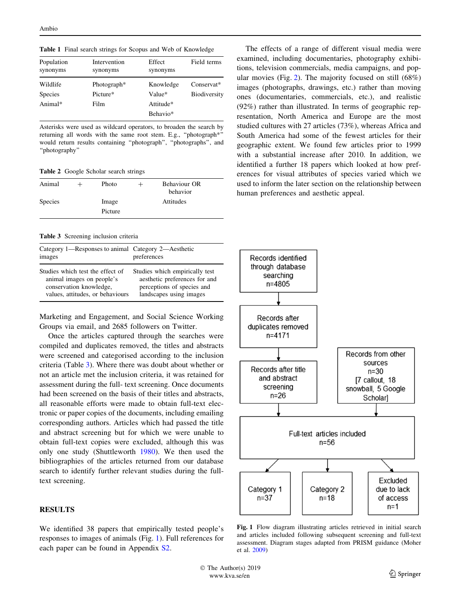Table 1 Final search strings for Scopus and Web of Knowledge

| Population<br>Intervention<br>synonyms<br>synonyms<br>Wildlife<br>Photograph <sup>*</sup> |          | Effect<br>synonyms | Field terms         |  |
|-------------------------------------------------------------------------------------------|----------|--------------------|---------------------|--|
|                                                                                           |          | Knowledge          | Conservat*          |  |
| Species                                                                                   | Picture* | Value*             | <b>Biodiversity</b> |  |
| Animal $*$                                                                                | Film     | Attitude*          |                     |  |
|                                                                                           |          | Behavio*           |                     |  |

Asterisks were used as wildcard operators, to broaden the search by returning all words with the same root stem. E.g., "photograph\*' would return results containing ''photograph'', ''photographs'', and ''photography''

Table 2 Google Scholar search strings

| Animal         | Photo   | $\pm$ | Behaviour OR<br>behavior |  |
|----------------|---------|-------|--------------------------|--|
| <b>Species</b> | Image   |       | Attitudes                |  |
|                | Picture |       |                          |  |

Table 3 Screening inclusion criteria

| Category 1—Responses to animal Category 2—Aesthetic<br>images | preferences                    |
|---------------------------------------------------------------|--------------------------------|
| Studies which test the effect of                              | Studies which empirically test |
| animal images on people's                                     | aesthetic preferences for and  |
| conservation knowledge,                                       | perceptions of species and     |
| values, attitudes, or behaviours                              | landscapes using images        |

Marketing and Engagement, and Social Science Working Groups via email, and 2685 followers on Twitter.

Once the articles captured through the searches were compiled and duplicates removed, the titles and abstracts were screened and categorised according to the inclusion criteria (Table 3). Where there was doubt about whether or not an article met the inclusion criteria, it was retained for assessment during the full- text screening. Once documents had been screened on the basis of their titles and abstracts, all reasonable efforts were made to obtain full-text electronic or paper copies of the documents, including emailing corresponding authors. Articles which had passed the title and abstract screening but for which we were unable to obtain full-text copies were excluded, although this was only one study (Shuttleworth 1980). We then used the bibliographies of the articles returned from our database search to identify further relevant studies during the fulltext screening.

#### RESULTS

We identified 38 papers that empirically tested people's responses to images of animals (Fig. 1). Full references for each paper can be found in Appendix [S2](https://doi.org/10.1007/s13280-019-01271-1).

The effects of a range of different visual media were examined, including documentaries, photography exhibitions, television commercials, media campaigns, and popular movies (Fig. 2). The majority focused on still  $(68\%)$ images (photographs, drawings, etc.) rather than moving ones (documentaries, commercials, etc.), and realistic (92%) rather than illustrated. In terms of geographic representation, North America and Europe are the most studied cultures with 27 articles (73%), whereas Africa and South America had some of the fewest articles for their geographic extent. We found few articles prior to 1999 with a substantial increase after 2010. In addition, we identified a further 18 papers which looked at how preferences for visual attributes of species varied which we used to inform the later section on the relationship between human preferences and aesthetic appeal.



Fig. 1 Flow diagram illustrating articles retrieved in initial search and articles included following subsequent screening and full-text assessment. Diagram stages adapted from PRISM guidance (Moher et al. 2009)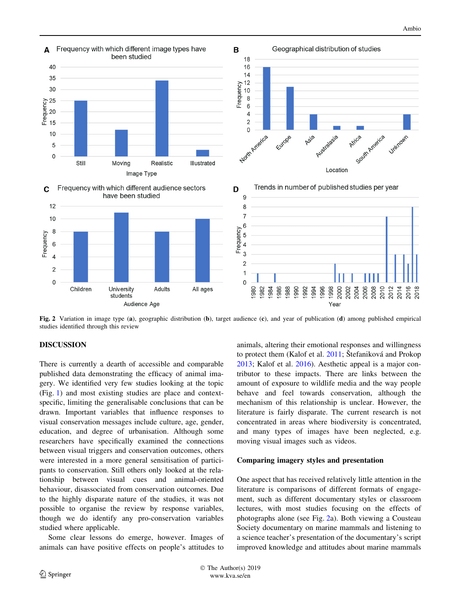

Fig. 2 Variation in image type (a), geographic distribution (b), target audience (c), and year of publication (d) among published empirical studies identified through this review

#### DISCUSSION

There is currently a dearth of accessible and comparable published data demonstrating the efficacy of animal imagery. We identified very few studies looking at the topic (Fig. 1) and most existing studies are place and contextspecific, limiting the generalisable conclusions that can be drawn. Important variables that influence responses to visual conservation messages include culture, age, gender, education, and degree of urbanisation. Although some researchers have specifically examined the connections between visual triggers and conservation outcomes, others were interested in a more general sensitisation of participants to conservation. Still others only looked at the relationship between visual cues and animal-oriented behaviour, disassociated from conservation outcomes. Due to the highly disparate nature of the studies, it was not possible to organise the review by response variables, though we do identify any pro-conservation variables studied where applicable.

Some clear lessons do emerge, however. Images of animals can have positive effects on people's attitudes to animals, altering their emotional responses and willingness to protect them (Kalof et al. 2011; Štefaniková and Prokop 2013; Kalof et al. 2016). Aesthetic appeal is a major contributor to these impacts. There are links between the amount of exposure to wildlife media and the way people behave and feel towards conservation, although the mechanism of this relationship is unclear. However, the literature is fairly disparate. The current research is not concentrated in areas where biodiversity is concentrated, and many types of images have been neglected, e.g. moving visual images such as videos.

#### Comparing imagery styles and presentation

One aspect that has received relatively little attention in the literature is comparisons of different formats of engagement, such as different documentary styles or classroom lectures, with most studies focusing on the effects of photographs alone (see Fig. 2a). Both viewing a Cousteau Society documentary on marine mammals and listening to a science teacher's presentation of the documentary's script improved knowledge and attitudes about marine mammals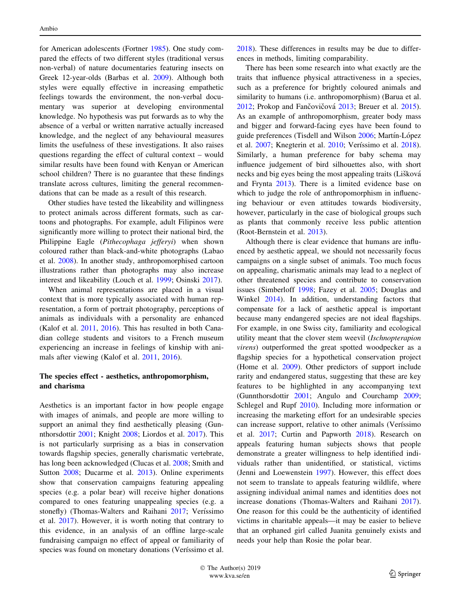for American adolescents (Fortner 1985). One study compared the effects of two different styles (traditional versus non-verbal) of nature documentaries featuring insects on Greek 12-year-olds (Barbas et al. 2009). Although both styles were equally effective in increasing empathetic feelings towards the environment, the non-verbal documentary was superior at developing environmental knowledge. No hypothesis was put forwards as to why the absence of a verbal or written narrative actually increased knowledge, and the neglect of any behavioural measures limits the usefulness of these investigations. It also raises questions regarding the effect of cultural context – would similar results have been found with Kenyan or American school children? There is no guarantee that these findings translate across cultures, limiting the general recommendations that can be made as a result of this research.

Other studies have tested the likeability and willingness to protect animals across different formats, such as cartoons and photographs. For example, adult Filipinos were significantly more willing to protect their national bird, the Philippine Eagle (Pithecophaga jefferyi) when shown coloured rather than black-and-white photographs (Labao et al. 2008). In another study, anthropomorphised cartoon illustrations rather than photographs may also increase interest and likeability (Louch et al. 1999; Osinski 2017).

When animal representations are placed in a visual context that is more typically associated with human representation, a form of portrait photography, perceptions of animals as individuals with a personality are enhanced (Kalof et al. 2011, 2016). This has resulted in both Canadian college students and visitors to a French museum experiencing an increase in feelings of kinship with animals after viewing (Kalof et al. 2011, 2016).

#### The species effect - aesthetics, anthropomorphism, and charisma

Aesthetics is an important factor in how people engage with images of animals, and people are more willing to support an animal they find aesthetically pleasing (Gunnthorsdottir 2001; Knight 2008; Liordos et al. 2017). This is not particularly surprising as a bias in conservation towards flagship species, generally charismatic vertebrate, has long been acknowledged (Clucas et al. 2008; Smith and Sutton 2008; Ducarme et al. 2013). Online experiments show that conservation campaigns featuring appealing species (e.g. a polar bear) will receive higher donations compared to ones featuring unappealing species (e.g. a stonefly) (Thomas-Walters and Raihani 2017; Verissimo et al. 2017). However, it is worth noting that contrary to this evidence, in an analysis of an offline large-scale fundraising campaign no effect of appeal or familiarity of species was found on monetary donations (Veríssimo et al.

2018). These differences in results may be due to differences in methods, limiting comparability.

There has been some research into what exactly are the traits that influence physical attractiveness in a species, such as a preference for brightly coloured animals and similarity to humans (i.e. anthropomorphism) (Barua et al.  $2012$ ; Prokop and Fančovičová  $2013$ ; Breuer et al.  $2015$ ). As an example of anthropomorphism, greater body mass and bigger and forward-facing eyes have been found to guide preferences (Tisdell and Wilson 2006; Martín-López et al. 2007; Knegterin et al. 2010; Veríssimo et al. 2018). Similarly, a human preference for baby schema may influence judgement of bird silhouettes also, with short necks and big eyes being the most appealing traits (Lišková and Frynta 2013). There is a limited evidence base on which to judge the role of anthropomorphism in influencing behaviour or even attitudes towards biodiversity, however, particularly in the case of biological groups such as plants that commonly receive less public attention (Root-Bernstein et al. 2013).

Although there is clear evidence that humans are influenced by aesthetic appeal, we should not necessarily focus campaigns on a single subset of animals. Too much focus on appealing, charismatic animals may lead to a neglect of other threatened species and contribute to conservation issues (Simberloff 1998; Fazey et al. 2005; Douglas and Winkel 2014). In addition, understanding factors that compensate for a lack of aesthetic appeal is important because many endangered species are not ideal flagships. For example, in one Swiss city, familiarity and ecological utility meant that the clover stem weevil (Ischnopterapion virens) outperformed the great spotted woodpecker as a flagship species for a hypothetical conservation project (Home et al. 2009). Other predictors of support include rarity and endangered status, suggesting that these are key features to be highlighted in any accompanying text (Gunnthorsdottir 2001; Angulo and Courchamp 2009; Schlegel and Rupf 2010). Including more information or increasing the marketing effort for an undesirable species can increase support, relative to other animals (Veríssimo et al. 2017; Curtin and Papworth 2018). Research on appeals featuring human subjects shows that people demonstrate a greater willingness to help identified individuals rather than unidentified, or statistical, victims (Jenni and Loewenstein 1997). However, this effect does not seem to translate to appeals featuring wildlife, where assigning individual animal names and identities does not increase donations (Thomas-Walters and Raihani 2017). One reason for this could be the authenticity of identified victims in charitable appeals—it may be easier to believe that an orphaned girl called Juanita genuinely exists and needs your help than Rosie the polar bear.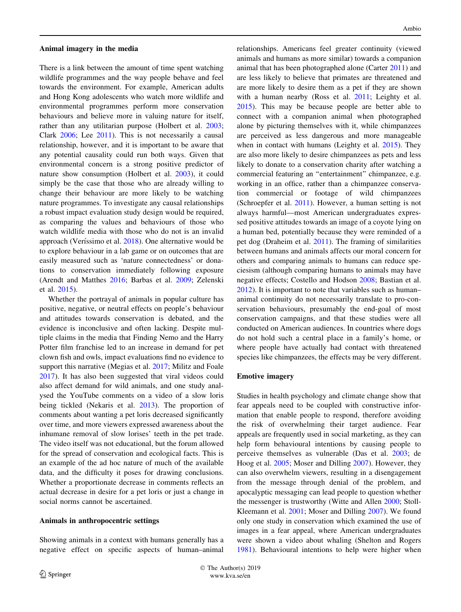#### Animal imagery in the media

There is a link between the amount of time spent watching wildlife programmes and the way people behave and feel towards the environment. For example, American adults and Hong Kong adolescents who watch more wildlife and environmental programmes perform more conservation behaviours and believe more in valuing nature for itself, rather than any utilitarian purpose (Holbert et al. 2003; Clark 2006; Lee 2011). This is not necessarily a causal relationship, however, and it is important to be aware that any potential causality could run both ways. Given that environmental concern is a strong positive predictor of nature show consumption (Holbert et al. 2003), it could simply be the case that those who are already willing to change their behaviour are more likely to be watching nature programmes. To investigate any causal relationships a robust impact evaluation study design would be required, as comparing the values and behaviours of those who watch wildlife media with those who do not is an invalid approach (Veríssimo et al. 2018). One alternative would be to explore behaviour in a lab game or on outcomes that are easily measured such as 'nature connectedness' or donations to conservation immediately following exposure (Arendt and Matthes 2016; Barbas et al. 2009; Zelenski et al. 2015).

Whether the portrayal of animals in popular culture has positive, negative, or neutral effects on people's behaviour and attitudes towards conservation is debated, and the evidence is inconclusive and often lacking. Despite multiple claims in the media that Finding Nemo and the Harry Potter film franchise led to an increase in demand for pet clown fish and owls, impact evaluations find no evidence to support this narrative (Megias et al. 2017; Militz and Foale 2017). It has also been suggested that viral videos could also affect demand for wild animals, and one study analysed the YouTube comments on a video of a slow loris being tickled (Nekaris et al. 2013). The proportion of comments about wanting a pet loris decreased significantly over time, and more viewers expressed awareness about the inhumane removal of slow lorises' teeth in the pet trade. The video itself was not educational, but the forum allowed for the spread of conservation and ecological facts. This is an example of the ad hoc nature of much of the available data, and the difficulty it poses for drawing conclusions. Whether a proportionate decrease in comments reflects an actual decrease in desire for a pet loris or just a change in social norms cannot be ascertained.

#### Animals in anthropocentric settings

Showing animals in a context with humans generally has a negative effect on specific aspects of human–animal relationships. Americans feel greater continuity (viewed animals and humans as more similar) towards a companion animal that has been photographed alone (Carter 2011) and are less likely to believe that primates are threatened and are more likely to desire them as a pet if they are shown with a human nearby (Ross et al. 2011; Leighty et al. 2015). This may be because people are better able to connect with a companion animal when photographed alone by picturing themselves with it, while chimpanzees are perceived as less dangerous and more manageable when in contact with humans (Leighty et al. 2015). They are also more likely to desire chimpanzees as pets and less likely to donate to a conservation charity after watching a commercial featuring an ''entertainment'' chimpanzee, e.g. working in an office, rather than a chimpanzee conservation commercial or footage of wild chimpanzees (Schroepfer et al. 2011). However, a human setting is not always harmful—most American undergraduates expressed positive attitudes towards an image of a coyote lying on a human bed, potentially because they were reminded of a pet dog (Draheim et al. 2011). The framing of similarities between humans and animals affects our moral concern for others and comparing animals to humans can reduce speciesism (although comparing humans to animals may have negative effects; Costello and Hodson 2008; Bastian et al. 2012). It is important to note that variables such as human– animal continuity do not necessarily translate to pro-conservation behaviours, presumably the end-goal of most conservation campaigns, and that these studies were all conducted on American audiences. In countries where dogs do not hold such a central place in a family's home, or where people have actually had contact with threatened species like chimpanzees, the effects may be very different.

#### Emotive imagery

Studies in health psychology and climate change show that fear appeals need to be coupled with constructive information that enable people to respond, therefore avoiding the risk of overwhelming their target audience. Fear appeals are frequently used in social marketing, as they can help form behavioural intentions by causing people to perceive themselves as vulnerable (Das et al. 2003; de Hoog et al. 2005; Moser and Dilling 2007). However, they can also overwhelm viewers, resulting in a disengagement from the message through denial of the problem, and apocalyptic messaging can lead people to question whether the messenger is trustworthy (Witte and Allen 2000; Stoll-Kleemann et al. 2001; Moser and Dilling 2007). We found only one study in conservation which examined the use of images in a fear appeal, where American undergraduates were shown a video about whaling (Shelton and Rogers 1981). Behavioural intentions to help were higher when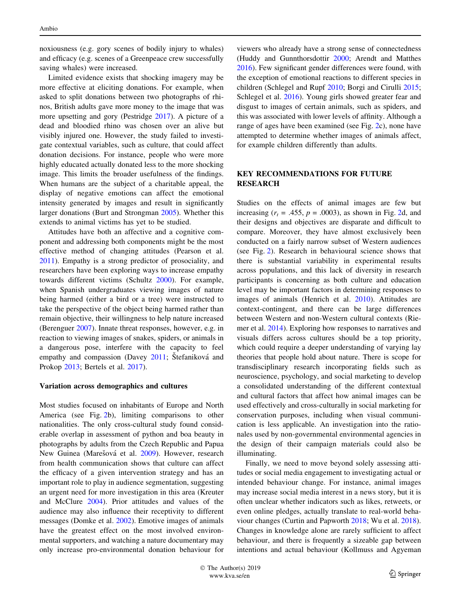noxiousness (e.g. gory scenes of bodily injury to whales) and efficacy (e.g. scenes of a Greenpeace crew successfully saving whales) were increased.

Limited evidence exists that shocking imagery may be more effective at eliciting donations. For example, when asked to split donations between two photographs of rhinos, British adults gave more money to the image that was more upsetting and gory (Pestridge 2017). A picture of a dead and bloodied rhino was chosen over an alive but visibly injured one. However, the study failed to investigate contextual variables, such as culture, that could affect donation decisions. For instance, people who were more highly educated actually donated less to the more shocking image. This limits the broader usefulness of the findings. When humans are the subject of a charitable appeal, the display of negative emotions can affect the emotional intensity generated by images and result in significantly larger donations (Burt and Strongman 2005). Whether this extends to animal victims has yet to be studied.

Attitudes have both an affective and a cognitive component and addressing both components might be the most effective method of changing attitudes (Pearson et al. 2011). Empathy is a strong predictor of prosociality, and researchers have been exploring ways to increase empathy towards different victims (Schultz 2000). For example, when Spanish undergraduates viewing images of nature being harmed (either a bird or a tree) were instructed to take the perspective of the object being harmed rather than remain objective, their willingness to help nature increased (Berenguer 2007). Innate threat responses, however, e.g. in reaction to viewing images of snakes, spiders, or animals in a dangerous pose, interfere with the capacity to feel empathy and compassion (Davey  $2011$ ; Štefaniková and Prokop 2013; Bertels et al. 2017).

#### Variation across demographics and cultures

Most studies focused on inhabitants of Europe and North America (see Fig. 2b), limiting comparisons to other nationalities. The only cross-cultural study found considerable overlap in assessment of python and boa beauty in photographs by adults from the Czech Republic and Papua New Guinea (Marešová et al. 2009). However, research from health communication shows that culture can affect the efficacy of a given intervention strategy and has an important role to play in audience segmentation, suggesting an urgent need for more investigation in this area (Kreuter and McClure 2004). Prior attitudes and values of the audience may also influence their receptivity to different messages (Domke et al. 2002). Emotive images of animals have the greatest effect on the most involved environmental supporters, and watching a nature documentary may only increase pro-environmental donation behaviour for

viewers who already have a strong sense of connectedness (Huddy and Gunnthorsdottir 2000; Arendt and Matthes 2016). Few significant gender differences were found, with the exception of emotional reactions to different species in children (Schlegel and Rupf 2010; Borgi and Cirulli 2015; Schlegel et al. 2016). Young girls showed greater fear and disgust to images of certain animals, such as spiders, and this was associated with lower levels of affinity. Although a range of ages have been examined (see Fig. 2c), none have attempted to determine whether images of animals affect, for example children differently than adults.

#### KEY RECOMMENDATIONS FOR FUTURE **RESEARCH**

Studies on the effects of animal images are few but increasing  $(r<sub>t</sub> = .455, p = .0003)$ , as shown in Fig. 2d, and their designs and objectives are disparate and difficult to compare. Moreover, they have almost exclusively been conducted on a fairly narrow subset of Western audiences (see Fig. 2). Research in behavioural science shows that there is substantial variability in experimental results across populations, and this lack of diversity in research participants is concerning as both culture and education level may be important factors in determining responses to images of animals (Henrich et al. 2010). Attitudes are context-contingent, and there can be large differences between Western and non-Western cultural contexts (Riemer et al. 2014). Exploring how responses to narratives and visuals differs across cultures should be a top priority, which could require a deeper understanding of varying lay theories that people hold about nature. There is scope for transdisciplinary research incorporating fields such as neuroscience, psychology, and social marketing to develop a consolidated understanding of the different contextual and cultural factors that affect how animal images can be used effectively and cross-culturally in social marketing for conservation purposes, including when visual communication is less applicable. An investigation into the rationales used by non-governmental environmental agencies in the design of their campaign materials could also be illuminating.

Finally, we need to move beyond solely assessing attitudes or social media engagement to investigating actual or intended behaviour change. For instance, animal images may increase social media interest in a news story, but it is often unclear whether indicators such as likes, retweets, or even online pledges, actually translate to real-world behaviour changes (Curtin and Papworth 2018; Wu et al. 2018). Changes in knowledge alone are rarely sufficient to affect behaviour, and there is frequently a sizeable gap between intentions and actual behaviour (Kollmuss and Agyeman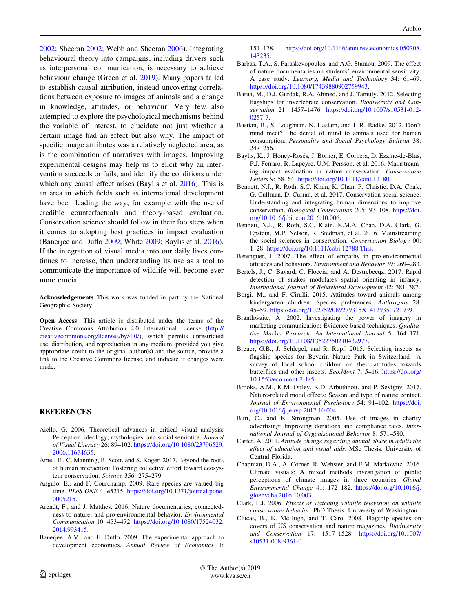2002; Sheeran 2002; Webb and Sheeran 2006). Integrating behavioural theory into campaigns, including drivers such as interpersonal communication, is necessary to achieve behaviour change (Green et al. 2019). Many papers failed to establish causal attribution, instead uncovering correlations between exposure to images of animals and a change in knowledge, attitudes, or behaviour. Very few also attempted to explore the psychological mechanisms behind the variable of interest, to elucidate not just whether a certain image had an effect but also why. The impact of specific image attributes was a relatively neglected area, as is the combination of narratives with images. Improving experimental designs may help us to elicit why an intervention succeeds or fails, and identify the conditions under which any causal effect arises (Baylis et al. 2016). This is an area in which fields such as international development have been leading the way, for example with the use of credible counterfactuals and theory-based evaluation. Conservation science should follow in their footsteps when it comes to adopting best practices in impact evaluation (Banerjee and Duflo 2009; White 2009; Baylis et al. 2016). If the integration of visual media into our daily lives continues to increase, then understanding its use as a tool to communicate the importance of wildlife will become ever more crucial.

Acknowledgements This work was funded in part by the National Geographic Society.

Open Access This article is distributed under the terms of the Creative Commons Attribution 4.0 International License ([http://](http://creativecommons.org/licenses/by/4.0/) [creativecommons.org/licenses/by/4.0/\)](http://creativecommons.org/licenses/by/4.0/), which permits unrestricted use, distribution, and reproduction in any medium, provided you give appropriate credit to the original author(s) and the source, provide a link to the Creative Commons license, and indicate if changes were made.

#### REFERENCES

- Aiello, G. 2006. Theoretical advances in critical visual analysis: Perception, ideology, mythologies, and social semiotics. Journal of Visual Literacy 26: 89–102. [https://doi.org/10.1080/23796529.](https://doi.org/10.1080/23796529.2006.11674635) [2006.11674635.](https://doi.org/10.1080/23796529.2006.11674635)
- Amel, E., C. Manning, B. Scott, and S. Koger. 2017. Beyond the roots of human interaction: Fostering collective effort toward ecosystem conservation. Science 356: 275–279.
- Angulo, E., and F. Courchamp. 2009. Rare species are valued big time. PLoS ONE 4: e5215. [https://doi.org/10.1371/journal.pone.](https://doi.org/10.1371/journal.pone.0005215) [0005215.](https://doi.org/10.1371/journal.pone.0005215)
- Arendt, F., and J. Matthes. 2016. Nature documentaries, connectedness to nature, and pro-environmental behavior. Environmental Communication 10: 453–472. [https://doi.org/10.1080/17524032.](https://doi.org/10.1080/17524032.2014.993415) [2014.993415](https://doi.org/10.1080/17524032.2014.993415).
- Banerjee, A.V., and E. Duflo. 2009. The experimental approach to development economics. Annual Review of Economics 1:

151–178. [https://doi.org/10.1146/annurev.economics.050708.](https://doi.org/10.1146/annurev.economics.050708.143235) [143235.](https://doi.org/10.1146/annurev.economics.050708.143235)

- Barbas, T.A., S. Paraskevopoulos, and A.G. Stamou. 2009. The effect of nature documentaries on students' environmental sensitivity: A case study. Learning, Media and Technology 34: 61–69. <https://doi.org/10.1080/17439880902759943>.
- Barua, M., D.J. Gurdak, R.A. Ahmed, and J. Tamuly. 2012. Selecting flagships for invertebrate conservation. Biodiversity and Conservation 21: 1457–1476. [https://doi.org/10.1007/s10531-012-](https://doi.org/10.1007/s10531-012-0257-7) [0257-7](https://doi.org/10.1007/s10531-012-0257-7).
- Bastian, B., S. Loughnan, N. Haslam, and H.R. Radke. 2012. Don't mind meat? The denial of mind to animals used for human consumption. Personality and Social Psychology Bulletin 38: 247–256.
- Baylis, K., J. Honey-Rosés, J. Börner, E. Corbera, D. Ezzine-de-Blas, P.J. Ferraro, R. Lapeyre, U.M. Persson, et al. 2016. Mainstreaming impact evaluation in nature conservation. Conservation Letters 9: 58–64. <https://doi.org/10.1111/conl.12180>.
- Bennett, N.J., R. Roth, S.C. Klain, K. Chan, P. Christie, D.A. Clark, G. Cullman, D. Curran, et al. 2017. Conservation social science: Understanding and integrating human dimensions to improve conservation. Biological Conservation 205: 93–108. [https://doi.](https://doi.org/10.1016/j.biocon.2016.10.006) [org/10.1016/j.biocon.2016.10.006.](https://doi.org/10.1016/j.biocon.2016.10.006)
- Bennett, N.J., R. Roth, S.C. Klain, K.M.A. Chan, D.A. Clark, G. Epstein, M.P. Nelson, R. Stedman, et al. 2016. Mainstreaming the social sciences in conservation. Conservation Biology 00: 1–28. <https://doi.org/10.1111/cobi.12788.This>.
- Berenguer, J. 2007. The effect of empathy in pro-environmental attitudes and behaviors. Environment and Behavior 39: 269–283.
- Bertels, J., C. Bayard, C. Floccia, and A. Destrebecqz. 2017. Rapid detection of snakes modulates spatial orienting in infancy. International Journal of Behavioral Development 42: 381–387.
- Borgi, M., and F. Cirulli. 2015. Attitudes toward animals among kindergarten children: Species preferences. Anthrozoos 28: 45–59. [https://doi.org/10.2752/089279315X14129350721939.](https://doi.org/10.2752/089279315X14129350721939)
- Branthwaite, A. 2002. Investigating the power of imagery in marketing communication: Evidence-based techniques. Qualitative Market Research: An International Journal 5: 164–171. <https://doi.org/10.1108/13522750210432977>.
- Breuer, G.B., J. Schlegel, and R. Rupf. 2015. Selecting insects as flagship species for Beverin Nature Park in Switzerland—A survey of local school children on their attitudes towards butterflies and other insects. Eco.Mont 7: 5–16. [https://doi.org/](https://doi.org/10.1553/eco.mont-7-1s5) [10.1553/eco.mont-7-1s5](https://doi.org/10.1553/eco.mont-7-1s5).
- Brooks, A.M., K.M. Ottley, K.D. Arbuthnott, and P. Sevigny. 2017. Nature-related mood effects: Season and type of nature contact. Journal of Environmental Psychology 54: 91-102. [https://doi.](https://doi.org/10.1016/j.jenvp.2017.10.004) [org/10.1016/j.jenvp.2017.10.004.](https://doi.org/10.1016/j.jenvp.2017.10.004)
- Burt, C., and K. Strongman. 2005. Use of images in charity advertising: Improving donations and compliance rates. International Journal of Organisational Behavior 8: 571–580.
- Carter, A. 2011. Attitude change regarding animal abuse in adults the effect of education and visual aids. MSc Thesis. University of Central Florida.
- Chapman, D.A., A. Corner, R. Webster, and E.M. Markowitz. 2016. Climate visuals: A mixed methods investigation of public perceptions of climate images in three countries. Global Environmental Change 41: 172–182. [https://doi.org/10.1016/j.](https://doi.org/10.1016/j.gloenvcha.2016.10.003) [gloenvcha.2016.10.003.](https://doi.org/10.1016/j.gloenvcha.2016.10.003)
- Clark, F.J. 2006. Effects of watching wildlife television on wildlife conservation behavior. PhD Thesis. University of Washington.
- Clucas, B., K. McHugh, and T. Caro. 2008. Flagship species on covers of US conservation and nature magazines. Biodiversity and Conservation 17: 1517–1528. [https://doi.org/10.1007/](https://doi.org/10.1007/s10531-008-9361-0) [s10531-008-9361-0.](https://doi.org/10.1007/s10531-008-9361-0)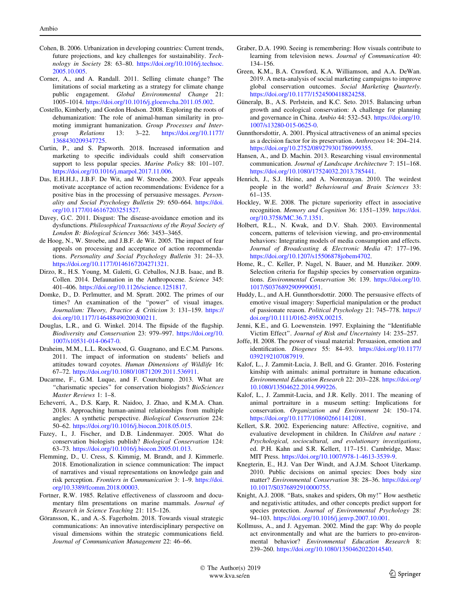- Cohen, B. 2006. Urbanization in developing countries: Current trends, future projections, and key challenges for sustainability. Technology in Society 28: 63–80. [https://doi.org/10.1016/j.techsoc.](https://doi.org/10.1016/j.techsoc.2005.10.005) [2005.10.005](https://doi.org/10.1016/j.techsoc.2005.10.005).
- Corner, A., and A. Randall. 2011. Selling climate change? The limitations of social marketing as a strategy for climate change public engagement. Global Environmental Change 21: 1005–1014. <https://doi.org/10.1016/j.gloenvcha.2011.05.002>.
- Costello, Kimberly, and Gordon Hodson. 2008. Exploring the roots of dehumanization: The role of animal-human similarity in promoting immigrant humanization. Group Processes and Intergroup Relations 13: 3–22. [https://doi.org/10.1177/](https://doi.org/10.1177/1368430209347725) [1368430209347725.](https://doi.org/10.1177/1368430209347725)
- Curtin, P., and S. Papworth. 2018. Increased information and marketing to specific individuals could shift conservation support to less popular species. Marine Policy 88: 101-107. <https://doi.org/10.1016/j.marpol.2017.11.006>.
- Das, E.H.H.J., J.B.F. De Wit, and W. Stroebe. 2003. Fear appeals motivate acceptance of action recommendations: Evidence for a positive bias in the processing of persuasive messages. Personality and Social Psychology Bulletin 29: 650–664. [https://doi.](https://doi.org/10.1177/0146167203251527) [org/10.1177/0146167203251527](https://doi.org/10.1177/0146167203251527).
- Davey, G.C. 2011. Disgust: The disease-avoidance emotion and its dysfunctions. Philosophical Transactions of the Royal Society of London B: Biological Sciences 366: 3453–3465.
- de Hoog, N., W. Stroebe, and J.B.F. de Wit. 2005. The impact of fear appeals on processing and acceptance of action recommendations. Personality and Social Psychology Bulletin 31: 24–33. [https://doi.org/10.1177/0146167204271321.](https://doi.org/10.1177/0146167204271321)
- Dirzo, R., H.S. Young, M. Galetti, G. Ceballos, N.J.B. Isaac, and B. Collen. 2014. Defaunation in the Anthropocene. Science 345: 401–406. [https://doi.org/10.1126/science.1251817.](https://doi.org/10.1126/science.1251817)
- Domke, D., D. Perlmutter, and M. Spratt. 2002. The primes of our times? An examination of the ''power'' of visual images. Journalism: Theory, Practice & Criticism 3: 131–159. [https://](https://doi.org/10.1177/146488490200300211) [doi.org/10.1177/146488490200300211.](https://doi.org/10.1177/146488490200300211)
- Douglas, L.R., and G. Winkel. 2014. The flipside of the flagship. Biodiversity and Conservation 23: 979–997. [https://doi.org/10.](https://doi.org/10.1007/s10531-014-0647-0) [1007/s10531-014-0647-0](https://doi.org/10.1007/s10531-014-0647-0).
- Draheim, M.M., L.L. Rockwood, G. Guagnano, and E.C.M. Parsons. 2011. The impact of information on students' beliefs and attitudes toward coyotes. Human Dimensions of Wildlife 16: 67–72. [https://doi.org/10.1080/10871209.2011.536911.](https://doi.org/10.1080/10871209.2011.536911)
- Ducarme, F., G.M. Luque, and F. Courchamp. 2013. What are "charismatic species" for conservation biologists? BioSciences Master Reviews 1: 1–8.
- Echeverri, A., D.S. Karp, R. Naidoo, J. Zhao, and K.M.A. Chan. 2018. Approaching human-animal relationships from multiple angles: A synthetic perspective. Biological Conservation 224: 50–62. <https://doi.org/10.1016/j.biocon.2018.05.015>.
- Fazey, I., J. Fischer, and D.B. Lindenmayer. 2005. What do conservation biologists publish? Biological Conservation 124: 63–73. <https://doi.org/10.1016/j.biocon.2005.01.013>.
- Flemming, D., U. Cress, S. Kimmig, M. Brandt, and J. Kimmerle. 2018. Emotionalization in science communication: The impact of narratives and visual representations on knowledge gain and risk perception. Frontiers in Communication 3: 1–9. [https://doi.](https://doi.org/10.3389/fcomm.2018.00003) [org/10.3389/fcomm.2018.00003](https://doi.org/10.3389/fcomm.2018.00003).
- Fortner, R.W. 1985. Relative effectiveness of classroom and documentary film presentations on marine mammals. Journal of Research in Science Teaching 21: 115–126.
- Göransson, K., and A.-S. Fagerholm. 2018. Towards visual strategic communications: An innovative interdisciplinary perspective on visual dimensions within the strategic communications field. Journal of Communication Management 22: 46–66.
- Graber, D.A. 1990. Seeing is remembering: How visuals contribute to learning from television news. Journal of Communication 40: 134–156.
- Green, K.M., B.A. Crawford, K.A. Williamson, and A.A. DeWan. 2019. A meta-analysis of social marketing campaigns to improve global conservation outcomes. Social Marketing Quarterly. <https://doi.org/10.1177/1524500418824258>.
- Güneralp, B., A.S. Perlstein, and K.C. Seto. 2015. Balancing urban growth and ecological conservation: A challenge for planning and governance in China. Ambio 44: 532–543. [https://doi.org/10.](https://doi.org/10.1007/s13280-015-0625-0) [1007/s13280-015-0625-0](https://doi.org/10.1007/s13280-015-0625-0).
- Gunnthorsdottir, A. 2001. Physical attractiveness of an animal species as a decision factor for its preservation. Anthrozoos 14: 204–214. [https://doi.org/10.2752/089279301786999355.](https://doi.org/10.2752/089279301786999355)
- Hansen, A., and D. Machin. 2013. Researching visual environmental communication. Journal of Landscape Architecture 7: 151–168. [https://doi.org/10.1080/17524032.2013.785441.](https://doi.org/10.1080/17524032.2013.785441)
- Henrich, J., S.J. Heine, and A. Norenzayan. 2010. The weirdest people in the world? Behavioural and Brain Sciences 33: 61–135.
- Hockley, W.E. 2008. The picture superiority effect in associative recognition. Memory and Cognition 36: 1351–1359. [https://doi.](https://doi.org/10.3758/MC.36.7.1351) [org/10.3758/MC.36.7.1351.](https://doi.org/10.3758/MC.36.7.1351)
- Holbert, R.L., N. Kwak, and D.V. Shah. 2003. Environmental concern, patterns of television viewing, and pro-environmental behaviors: Integrating models of media consumption and effects. Journal of Broadcasting & Electronic Media 47: 177–196. [https://doi.org/10.1207/s15506878jobem4702.](https://doi.org/10.1207/s15506878jobem4702)
- Home, R., C. Keller, P. Nagel, N. Bauer, and M. Hunziker. 2009. Selection criteria for flagship species by conservation organizations. Environmental Conservation 36: 139. [https://doi.org/10.](https://doi.org/10.1017/S0376892909990051) [1017/S0376892909990051.](https://doi.org/10.1017/S0376892909990051)
- Huddy, L., and A.H. Gunnthorsdottir. 2000. The persuasive effects of emotive visual imagery: Superficial manipulation or the product of passionate reason. Political Psychology 21: 745–778. [https://](https://doi.org/10.1111/0162-895X.00215) [doi.org/10.1111/0162-895X.00215.](https://doi.org/10.1111/0162-895X.00215)
- Jenni, K.E., and G. Loewenstein. 1997. Explaining the ''Identifiable Victim Effect''. Journal of Risk and Uncertainty 14: 235–257.
- Joffe, H. 2008. The power of visual material: Persuasion, emotion and identification. Diogenes 55: 84–93. [https://doi.org/10.1177/](https://doi.org/10.1177/0392192107087919) [0392192107087919.](https://doi.org/10.1177/0392192107087919)
- Kalof, L., J. Zammit-Lucia, J. Bell, and G. Granter. 2016. Fostering kinship with animals: animal portraiture in humane education. Environmental Education Research 22: 203–228. [https://doi.org/](https://doi.org/10.1080/13504622.2014.999226) [10.1080/13504622.2014.999226.](https://doi.org/10.1080/13504622.2014.999226)
- Kalof, L., J. Zammit-Lucia, and J.R. Kelly. 2011. The meaning of animal portraiture in a museum setting: Implications for conservation. Organization and Environment 24: 150–174. <https://doi.org/10.1177/1086026611412081>.
- Kellert, S.R. 2002. Experiencing nature: Affective, cognitive, and evaluative development in children. In Children and nature : Psychological, sociocultural, and evolutionary investigations, ed. P.H. Kahn and S.R. Kellert, 117–151. Cambridge, Mass: MIT Press. [https://doi.org/10.1007/978-1-4613-3539-9.](https://doi.org/10.1007/978-1-4613-3539-9)
- Knegterin, E., H.J. Van Der Windt, and A.J.M. Schoot Uiterkamp. 2010. Public decisions on animal species: Does body size matter? Environmental Conservation 38: 28–36. [https://doi.org/](https://doi.org/10.1017/S0376892910000755) [10.1017/S0376892910000755](https://doi.org/10.1017/S0376892910000755).
- Knight, A.J. 2008. ''Bats, snakes and spiders, Oh my!'' How aesthetic and negativistic attitudes, and other concepts predict support for species protection. Journal of Environmental Psychology 28: 94–103. [https://doi.org/10.1016/j.jenvp.2007.10.001.](https://doi.org/10.1016/j.jenvp.2007.10.001)
- Kollmuss, A., and J. Agyeman. 2002. Mind the gap: Why do people act environmentally and what are the barriers to pro-environmental behavior? Environmental Education Research 8: 239–260. [https://doi.org/10.1080/1350462022014540.](https://doi.org/10.1080/1350462022014540)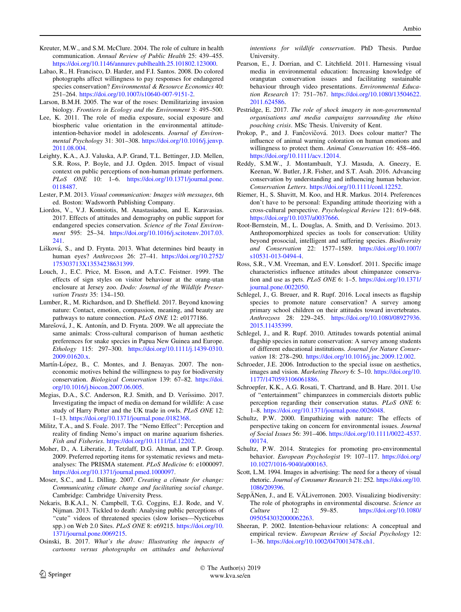- Kreuter, M.W., and S.M. McClure. 2004. The role of culture in health communication. Annual Review of Public Health 25: 439–455. <https://doi.org/10.1146/annurev.publhealth.25.101802.123000>.
- Labao, R., H. Francisco, D. Harder, and F.I. Santos. 2008. Do colored photographs affect willingness to pay responses for endangered species conservation? Environmental & Resource Economics 40: 251–264. [https://doi.org/10.1007/s10640-007-9151-2.](https://doi.org/10.1007/s10640-007-9151-2)
- Larson, B.M.H. 2005. The war of the roses: Demilitarizing invasion biology. Frontiers in Ecology and the Environment 3: 495–500.
- Lee, K. 2011. The role of media exposure, social exposure and biospheric value orientation in the environmental attitudeintention-behavior model in adolescents. Journal of Environmental Psychology 31: 301–308. [https://doi.org/10.1016/j.jenvp.](https://doi.org/10.1016/j.jenvp.2011.08.004) [2011.08.004](https://doi.org/10.1016/j.jenvp.2011.08.004).
- Leighty, K.A., A.J. Valuska, A.P. Grand, T.L. Bettinger, J.D. Mellen, S.R. Ross, P. Boyle, and J.J. Ogden. 2015. Impact of visual context on public perceptions of non-human primate performers. PLoS ONE 10: 1–6. [https://doi.org/10.1371/journal.pone.](https://doi.org/10.1371/journal.pone.0118487) [0118487.](https://doi.org/10.1371/journal.pone.0118487)
- Lester, P.M. 2013. Visual communication: Images with messages, 6th ed. Boston: Wadsworth Publishing Company.
- Liordos, V., V.J. Kontsiotis, M. Anastasiadou, and E. Karavasias. 2017. Effects of attitudes and demography on public support for endangered species conservation. Science of the Total Environment 595: 25–34. [https://doi.org/10.1016/j.scitotenv.2017.03.](https://doi.org/10.1016/j.scitotenv.2017.03.241) [241.](https://doi.org/10.1016/j.scitotenv.2017.03.241)
- Lišková, S., and D. Frynta. 2013. What determines bird beauty in human eyes? Anthrozoos 26: 27–41. [https://doi.org/10.2752/](https://doi.org/10.2752/175303713X13534238631399) [175303713X13534238631399](https://doi.org/10.2752/175303713X13534238631399).
- Louch, J., E.C. Price, M. Esson, and A.T.C. Feistner. 1999. The effects of sign styles on visitor behaviour at the orang-utan enclosure at Jersey zoo. Dodo: Journal of the Wildlife Preservation Trusts 35: 134–150.
- Lumber, R., M. Richardson, and D. Sheffield. 2017. Beyond knowing nature: Contact, emotion, compassion, meaning, and beauty are pathways to nature connection. PLoS ONE 12: e0177186.
- Marešová, J., K. Antonín, and D. Frynta. 2009. We all appreciate the same animals: Cross-cultural comparison of human aesthetic preferences for snake species in Papua New Guinea and Europe. Ethology 115: 297–300. [https://doi.org/10.1111/j.1439-0310.](https://doi.org/10.1111/j.1439-0310.2009.01620.x) [2009.01620.x.](https://doi.org/10.1111/j.1439-0310.2009.01620.x)
- Martín-López, B., C. Montes, and J. Benayas. 2007. The noneconomic motives behind the willingness to pay for biodiversity conservation. Biological Conservation 139: 67–82. [https://doi.](https://doi.org/10.1016/j.biocon.2007.06.005) [org/10.1016/j.biocon.2007.06.005.](https://doi.org/10.1016/j.biocon.2007.06.005)
- Megias, D.A., S.C. Anderson, R.J. Smith, and D. Veríssimo. 2017. Investigating the impact of media on demand for wildlife: A case study of Harry Potter and the UK trade in owls. PLoS ONE 12: 1–13. [https://doi.org/10.1371/journal.pone.0182368.](https://doi.org/10.1371/journal.pone.0182368)
- Militz, T.A., and S. Foale. 2017. The ''Nemo Effect'': Perception and reality of finding Nemo's impact on marine aquarium fisheries. Fish and Fisheries. [https://doi.org/10.1111/faf.12202.](https://doi.org/10.1111/faf.12202)
- Moher, D., A. Liberatie, J. Tetzlaff, D.G. Altman, and T.P. Group. 2009. Preferred reporting items for systematic reviews and metaanalyses: The PRISMA statement. PLoS Medicine 6: e1000097. <https://doi.org/10.1371/journal.pmed.1000097>.
- Moser, S.C., and L. Dilling. 2007. Creating a climate for change: Communicating climate change and facilitating social change. Cambridge: Cambridge University Press.
- Nekaris, B.K.A.I., N. Campbell, T.G. Coggins, E.J. Rode, and V. Nijman. 2013. Tickled to death: Analysing public perceptions of "cute" videos of threatened species (slow lorises—Nycticebus spp.) on Web 2.0 Sites. PLoS ONE 8: e69215. [https://doi.org/10.](https://doi.org/10.1371/journal.pone.0069215) [1371/journal.pone.0069215.](https://doi.org/10.1371/journal.pone.0069215)
- Osinski, B. 2017. What's the draw: Illustrating the impacts of cartoons versus photographs on attitudes and behavioral

intentions for wildlife conservation. PhD Thesis. Purdue University.

- Pearson, E., J. Dorrian, and C. Litchfield. 2011. Harnessing visual media in environmental education: Increasing knowledge of orangutan conservation issues and facilitating sustainable behaviour through video presentations. Environmental Education Research 17: 751–767. [https://doi.org/10.1080/13504622.](https://doi.org/10.1080/13504622.2011.624586) [2011.624586.](https://doi.org/10.1080/13504622.2011.624586)
- Pestridge, E. 2017. The role of shock imagery in non-governmental organisations and media campaigns surrounding the rhino poaching crisis. MSc Thesis. University of Kent.
- Prokop, P., and J. Fančovičová. 2013. Does colour matter? The influence of animal warning coloration on human emotions and willingness to protect them. Animal Conservation 16: 458–466. <https://doi.org/10.1111/acv.12014>.
- Reddy, S.M.W., J. Montambault, Y.J. Masuda, A. Gneezy, E. Keenan, W. Butler, J.R. Fisher, and S.T. Asah. 2016. Advancing conservation by understanding and influencing human behavior. Conservation Letters. <https://doi.org/10.1111/conl.12252>.
- Riemer, H., S. Shavitt, M. Koo, and H.R. Markus. 2014. Preferences don't have to be personal: Expanding attitude theorizing with a cross-cultural perspective. Psychological Review 121: 619–648. [https://doi.org/10.1037/a0037666.](https://doi.org/10.1037/a0037666)
- Root-Bernstein, M., L. Douglas, A. Smith, and D. Veríssimo. 2013. Anthropomorphized species as tools for conservation: Utility beyond prosocial, intelligent and suffering species. Biodiversity and Conservation 22: 1577–1589. [https://doi.org/10.1007/](https://doi.org/10.1007/s10531-013-0494-4) [s10531-013-0494-4.](https://doi.org/10.1007/s10531-013-0494-4)
- Ross, S.R., V.M. Vreeman, and E.V. Lonsdorf. 2011. Specific image characteristics influence attitudes about chimpanzee conservation and use as pets. PLoS ONE 6: 1–5. [https://doi.org/10.1371/](https://doi.org/10.1371/journal.pone.0022050) [journal.pone.0022050.](https://doi.org/10.1371/journal.pone.0022050)
- Schlegel, J., G. Breuer, and R. Rupf. 2016. Local insects as flagship species to promote nature conservation? A survey among primary school children on their attitudes toward invertebrates. Anthrozoos 28: 229–245. [https://doi.org/10.1080/08927936.](https://doi.org/10.1080/08927936.2015.11435399) [2015.11435399](https://doi.org/10.1080/08927936.2015.11435399).
- Schlegel, J., and R. Rupf. 2010. Attitudes towards potential animal flagship species in nature conservation: A survey among students of different educational institutions. Journal for Nature Conservation 18: 278–290. <https://doi.org/10.1016/j.jnc.2009.12.002>.
- Schroeder, J.E. 2006. Introduction to the special issue on aesthetics, images and vision. Marketing Theory 6: 5–10. [https://doi.org/10.](https://doi.org/10.1177/1470593106061886) [1177/1470593106061886](https://doi.org/10.1177/1470593106061886).
- Schroepfer, K.K., A.G. Rosati, T. Chartrand, and B. Hare. 2011. Use of ''entertainment'' chimpanzees in commercials distorts public perception regarding their conservation status. PLoS ONE 6: 1–8. <https://doi.org/10.1371/journal.pone.0026048>.
- Schultz, P.W. 2000. Empathizing with nature: The effects of perspective taking on concern for environmental issues. Journal of Social Issues 56: 391–406. [https://doi.org/10.1111/0022-4537.](https://doi.org/10.1111/0022-4537.00174) [00174](https://doi.org/10.1111/0022-4537.00174).
- Schultz, P.W. 2014. Strategies for promoting pro-environmental behavior. European Psychologist 19: 107-117. [https://doi.org/](https://doi.org/10.1027/1016-9040/a000163) [10.1027/1016-9040/a000163](https://doi.org/10.1027/1016-9040/a000163).
- Scott, L.M. 1994. Images in advertising: The need for a theory of visual rhetoric. Journal of Consumer Research 21: 252. [https://doi.org/10.](https://doi.org/10.1086/209396) [1086/209396](https://doi.org/10.1086/209396).
- SeppANen, J., and E. VALiverronen. 2003. Visualizing biodiversity: The role of photographs in environmental discourse. Science as Culture 12: 59–85. [https://doi.org/10.1080/](https://doi.org/10.1080/0950543032000062263) [0950543032000062263.](https://doi.org/10.1080/0950543032000062263)
- Sheeran, P. 2002. Intention-behaviour relations: A conceptual and empirical review. European Review of Social Psychology 12: 1–36. [https://doi.org/10.1002/0470013478.ch1.](https://doi.org/10.1002/0470013478.ch1)